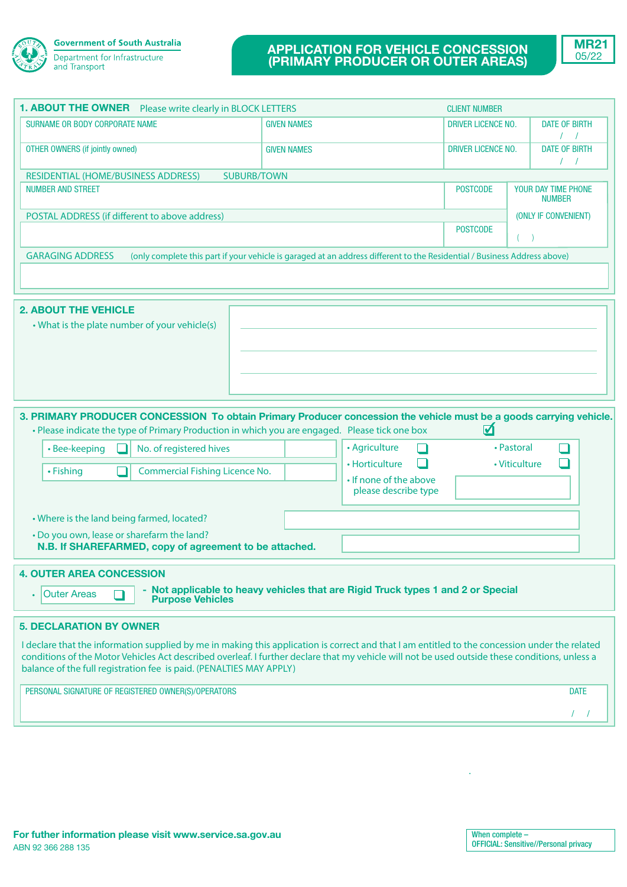

# **APPLICATION FOR VEHICLE CONCESSION (PRIMARY PRODUCER OR OUTER AREAS)**



| <b>1. ABOUT THE OWNER</b><br>Please write clearly in BLOCK LETTERS                                                                                                                                                                                                                                                                                                                                        |                    |                                                                                   | <b>CLIENT NUMBER</b>      |                                      |
|-----------------------------------------------------------------------------------------------------------------------------------------------------------------------------------------------------------------------------------------------------------------------------------------------------------------------------------------------------------------------------------------------------------|--------------------|-----------------------------------------------------------------------------------|---------------------------|--------------------------------------|
| SURNAME OR BODY CORPORATE NAME                                                                                                                                                                                                                                                                                                                                                                            | <b>GIVEN NAMES</b> |                                                                                   | <b>DRIVER LICENCE NO.</b> | <b>DATE OF BIRTH</b><br>$\sqrt{ }$   |
| <b>OTHER OWNERS (if jointly owned)</b>                                                                                                                                                                                                                                                                                                                                                                    | <b>GIVEN NAMES</b> |                                                                                   | <b>DRIVER LICENCE NO.</b> | <b>DATE OF BIRTH</b><br>$\sqrt{ }$   |
| RESIDENTIAL (HOME/BUSINESS ADDRESS)<br><b>SUBURB/TOWN</b>                                                                                                                                                                                                                                                                                                                                                 |                    |                                                                                   |                           |                                      |
| <b>NUMBER AND STREET</b>                                                                                                                                                                                                                                                                                                                                                                                  |                    |                                                                                   | <b>POSTCODE</b>           | YOUR DAY TIME PHONE<br><b>NUMBER</b> |
| POSTAL ADDRESS (if different to above address)                                                                                                                                                                                                                                                                                                                                                            |                    |                                                                                   | (ONLY IF CONVENIENT)      |                                      |
|                                                                                                                                                                                                                                                                                                                                                                                                           |                    |                                                                                   | <b>POSTCODE</b>           | (                                    |
| <b>GARAGING ADDRESS</b><br>(only complete this part if your vehicle is garaged at an address different to the Residential / Business Address above)                                                                                                                                                                                                                                                       |                    |                                                                                   |                           |                                      |
|                                                                                                                                                                                                                                                                                                                                                                                                           |                    |                                                                                   |                           |                                      |
| <b>2. ABOUT THE VEHICLE</b><br>• What is the plate number of your vehicle(s)                                                                                                                                                                                                                                                                                                                              |                    |                                                                                   |                           |                                      |
| 3. PRIMARY PRODUCER CONCESSION To obtain Primary Producer concession the vehicle must be a goods carrying vehicle.<br>• Please indicate the type of Primary Production in which you are engaged. Please tick one box<br>No. of registered hives<br>• Bee-keeping<br>• Fishing<br><b>Commercial Fishing Licence No.</b>                                                                                    |                    | • Agriculture<br>• Horticulture<br>• If none of the above<br>please describe type | ☑                         | • Pastoral<br>• Viticulture          |
| • Where is the land being farmed, located?<br>• Do you own, lease or sharefarm the land?                                                                                                                                                                                                                                                                                                                  |                    |                                                                                   |                           |                                      |
|                                                                                                                                                                                                                                                                                                                                                                                                           |                    |                                                                                   |                           |                                      |
| N.B. If SHAREFARMED, copy of agreement to be attached.<br><b>4. OUTER AREA CONCESSION</b><br>- Not applicable to heavy vehicles that are Rigid Truck types 1 and 2 or Special<br><b>Outer Areas</b><br><b>Purpose Vehicles</b>                                                                                                                                                                            |                    |                                                                                   |                           |                                      |
| <b>5. DECLARATION BY OWNER</b><br>I declare that the information supplied by me in making this application is correct and that I am entitled to the concession under the related<br>conditions of the Motor Vehicles Act described overleaf. I further declare that my vehicle will not be used outside these conditions, unless a<br>balance of the full registration fee is paid. (PENALTIES MAY APPLY) |                    |                                                                                   |                           |                                      |
| PERSONAL SIGNATURE OF REGISTERED OWNER(S)/OPERATORS                                                                                                                                                                                                                                                                                                                                                       |                    |                                                                                   |                           | <b>DATE</b>                          |
|                                                                                                                                                                                                                                                                                                                                                                                                           |                    |                                                                                   |                           |                                      |

.